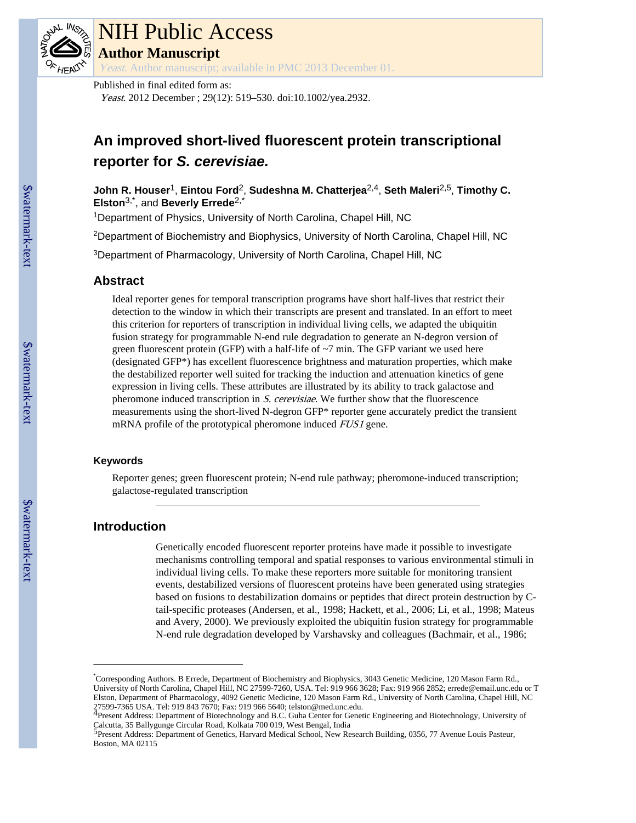

# NIH Public Access **Author Manuscript**

Yeast. Author manuscript; available in PMC 2013 December 01.

Published in final edited form as:

Yeast. 2012 December ; 29(12): 519–530. doi:10.1002/yea.2932.

# **An improved short-lived fluorescent protein transcriptional reporter for** *S. cerevisiae.*

**John R. Houser**1, **Eintou Ford**2, **Sudeshna M. Chatterjea**2,4, **Seth Maleri**2,5, **Timothy C. Elston**3,\*, and **Beverly Errede**2,\*

<sup>1</sup>Department of Physics, University of North Carolina, Chapel Hill, NC

<sup>2</sup>Department of Biochemistry and Biophysics, University of North Carolina, Chapel Hill, NC

<sup>3</sup>Department of Pharmacology, University of North Carolina, Chapel Hill, NC

# **Abstract**

Ideal reporter genes for temporal transcription programs have short half-lives that restrict their detection to the window in which their transcripts are present and translated. In an effort to meet this criterion for reporters of transcription in individual living cells, we adapted the ubiquitin fusion strategy for programmable N-end rule degradation to generate an N-degron version of green fluorescent protein (GFP) with a half-life of  $\sim$ 7 min. The GFP variant we used here (designated GFP\*) has excellent fluorescence brightness and maturation properties, which make the destabilized reporter well suited for tracking the induction and attenuation kinetics of gene expression in living cells. These attributes are illustrated by its ability to track galactose and pheromone induced transcription in S. cerevisiae. We further show that the fluorescence measurements using the short-lived N-degron GFP\* reporter gene accurately predict the transient mRNA profile of the prototypical pheromone induced *FUS1* gene.

# **Keywords**

Reporter genes; green fluorescent protein; N-end rule pathway; pheromone-induced transcription; galactose-regulated transcription

# **Introduction**

Genetically encoded fluorescent reporter proteins have made it possible to investigate mechanisms controlling temporal and spatial responses to various environmental stimuli in individual living cells. To make these reporters more suitable for monitoring transient events, destabilized versions of fluorescent proteins have been generated using strategies based on fusions to destabilization domains or peptides that direct protein destruction by Ctail-specific proteases (Andersen, et al., 1998; Hackett, et al., 2006; Li, et al., 1998; Mateus and Avery, 2000). We previously exploited the ubiquitin fusion strategy for programmable N-end rule degradation developed by Varshavsky and colleagues (Bachmair, et al., 1986;

<sup>\*</sup>Corresponding Authors. B Errede, Department of Biochemistry and Biophysics, 3043 Genetic Medicine, 120 Mason Farm Rd., University of North Carolina, Chapel Hill, NC 27599-7260, USA. Tel: 919 966 3628; Fax: 919 966 2852; errede@email.unc.edu or T Elston, Department of Pharmacology, 4092 Genetic Medicine, 120 Mason Farm Rd., University of North Carolina, Chapel Hill, NC 27599-7365 USA. Tel: 919 843 7670; Fax: 919 966 5640; telston@med.unc.edu.<br><sup>4</sup>Present Address: Department of Biotechnology and B.C. Guha Center for Genetic Engineering and Biotechnology, University of

Calcutta, 35 Ballygunge Circular Road, Kolkata 700 019, West Bengal, India<br><sup>5</sup>Present Address: Department of Genetics, Harvard Medical School, New Research Building, 0356, 77 Avenue Louis Pasteur, Boston, MA 02115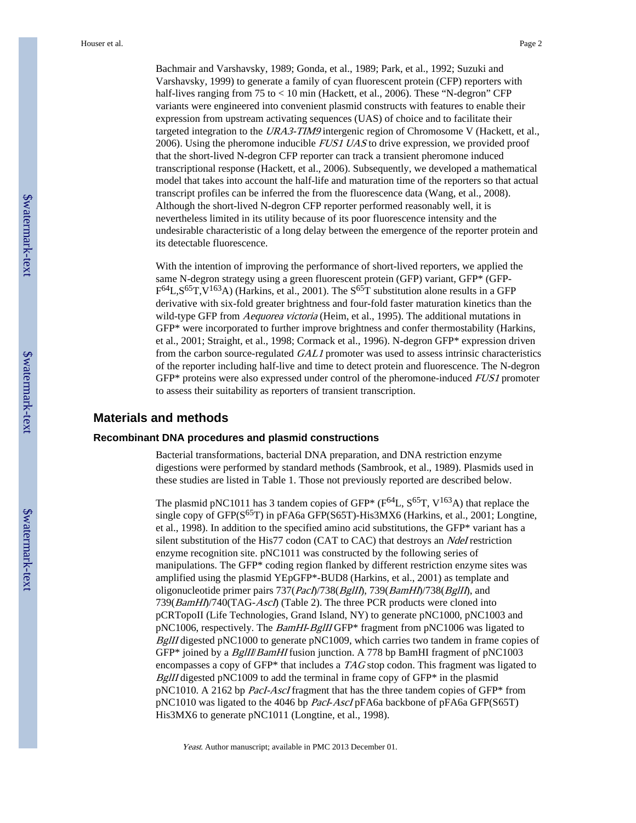Houser et al. Page 2

Bachmair and Varshavsky, 1989; Gonda, et al., 1989; Park, et al., 1992; Suzuki and Varshavsky, 1999) to generate a family of cyan fluorescent protein (CFP) reporters with half-lives ranging from 75 to < 10 min (Hackett, et al., 2006). These "N-degron" CFP variants were engineered into convenient plasmid constructs with features to enable their expression from upstream activating sequences (UAS) of choice and to facilitate their targeted integration to the URA3-TIM9 intergenic region of Chromosome V (Hackett, et al., 2006). Using the pheromone inducible *FUS1 UAS* to drive expression, we provided proof that the short-lived N-degron CFP reporter can track a transient pheromone induced transcriptional response (Hackett, et al., 2006). Subsequently, we developed a mathematical model that takes into account the half-life and maturation time of the reporters so that actual transcript profiles can be inferred the from the fluorescence data (Wang, et al., 2008). Although the short-lived N-degron CFP reporter performed reasonably well, it is nevertheless limited in its utility because of its poor fluorescence intensity and the undesirable characteristic of a long delay between the emergence of the reporter protein and its detectable fluorescence.

With the intention of improving the performance of short-lived reporters, we applied the same N-degron strategy using a green fluorescent protein (GFP) variant, GFP\* (GFP- $F^{64}L$ ,  $S^{65}T$ ,  $V^{163}A$ ) (Harkins, et al., 2001). The  $S^{65}T$  substitution alone results in a GFP derivative with six-fold greater brightness and four-fold faster maturation kinetics than the wild-type GFP from *Aequorea victoria* (Heim, et al., 1995). The additional mutations in GFP\* were incorporated to further improve brightness and confer thermostability (Harkins, et al., 2001; Straight, et al., 1998; Cormack et al., 1996). N-degron GFP\* expression driven from the carbon source-regulated GAL1 promoter was used to assess intrinsic characteristics of the reporter including half-live and time to detect protein and fluorescence. The N-degron GFP\* proteins were also expressed under control of the pheromone-induced FUS1 promoter to assess their suitability as reporters of transient transcription.

#### **Materials and methods**

#### **Recombinant DNA procedures and plasmid constructions**

Bacterial transformations, bacterial DNA preparation, and DNA restriction enzyme digestions were performed by standard methods (Sambrook, et al., 1989). Plasmids used in these studies are listed in Table 1. Those not previously reported are described below.

The plasmid pNC1011 has 3 tandem copies of GFP\* ( $F^{64}L$ ,  $S^{65}T$ ,  $V^{163}A$ ) that replace the single copy of GFP( $S^{65}T$ ) in pFA6a GFP( $S^{65}T$ )-His3MX6 (Harkins, et al., 2001; Longtine, et al., 1998). In addition to the specified amino acid substitutions, the GFP\* variant has a silent substitution of the His77 codon (CAT to CAC) that destroys an *NdeI* restriction enzyme recognition site. pNC1011 was constructed by the following series of manipulations. The GFP\* coding region flanked by different restriction enzyme sites was amplified using the plasmid YEpGFP\*-BUD8 (Harkins, et al., 2001) as template and oligonucleotide primer pairs 737(PacI)/738(BgIII), 739(BamHI)/738(BgIII), and 739(*BamHI*)/740(TAG-*AscI*) (Table 2). The three PCR products were cloned into pCRTopoII (Life Technologies, Grand Island, NY) to generate pNC1000, pNC1003 and pNC1006, respectively. The BamHI-BglII GFP\* fragment from pNC1006 was ligated to BgIII digested pNC1000 to generate pNC1009, which carries two tandem in frame copies of GFP\* joined by a *BgIII/BamHI* fusion junction. A 778 bp BamHI fragment of pNC1003 encompasses a copy of GFP\* that includes a TAG stop codon. This fragment was ligated to  $BgIII$  digested pNC1009 to add the terminal in frame copy of GFP $*$  in the plasmid pNC1010. A 2162 bp PacI-AscI fragment that has the three tandem copies of GFP\* from pNC1010 was ligated to the 4046 bp PacI-AscI pFA6a backbone of pFA6a GFP(S65T) His3MX6 to generate pNC1011 (Longtine, et al., 1998).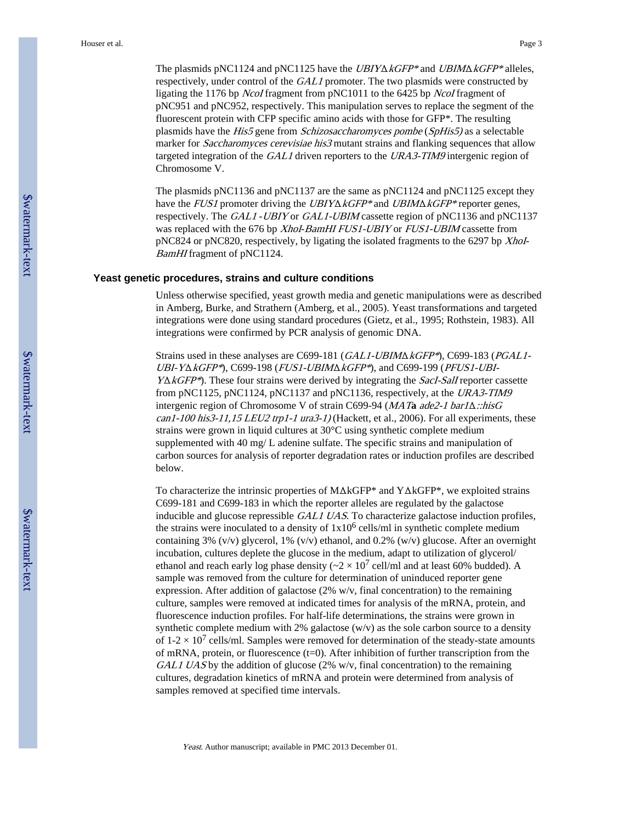The plasmids pNC1124 and pNC1125 have the UBIYΔkGFP\* and UBIMΔkGFP\* alleles, respectively, under control of the GAL1 promoter. The two plasmids were constructed by ligating the 1176 bp NcoI fragment from pNC1011 to the 6425 bp NcoI fragment of pNC951 and pNC952, respectively. This manipulation serves to replace the segment of the fluorescent protein with CFP specific amino acids with those for GFP\*. The resulting plasmids have the His5 gene from Schizosaccharomyces pombe (SpHis5) as a selectable marker for *Saccharomyces cerevisiae his3* mutant strains and flanking sequences that allow targeted integration of the GAL1 driven reporters to the URA3-TIM9 intergenic region of Chromosome V.

The plasmids pNC1136 and pNC1137 are the same as pNC1124 and pNC1125 except they have the FUS1 promoter driving the UBIY $\triangle KGFP*$  and UBIM $\triangle KGFP*$  reporter genes, respectively. The GAL1 - UBIY or GAL1-UBIM cassette region of pNC1136 and pNC1137 was replaced with the 676 bp Xhol-BamHI FUS1-UBIY or FUS1-UBIM cassette from  $pNC824$  or  $pNC820$ , respectively, by ligating the isolated fragments to the 6297 bp *XhoI*-BamHI fragment of pNC1124.

#### **Yeast genetic procedures, strains and culture conditions**

Unless otherwise specified, yeast growth media and genetic manipulations were as described in Amberg, Burke, and Strathern (Amberg, et al., 2005). Yeast transformations and targeted integrations were done using standard procedures (Gietz, et al., 1995; Rothstein, 1983). All integrations were confirmed by PCR analysis of genomic DNA.

Strains used in these analyses are C699-181 (GAL1-UBIMΔkGFP\*), C699-183 (PGAL1- UBI-Y $\triangle$ *kGFP\**), C699-198 (*FUS1-UBIM* $\triangle$ *kGFP\**), and C699-199 (*PFUS1-UBI-* $Y\Delta kGFP^*$ ). These four strains were derived by integrating the *SacI-SalI* reporter cassette from pNC1125, pNC1124, pNC1137 and pNC1136, respectively, at the URA3-TIM9 intergenic region of Chromosome V of strain C699-94 (MAT**a** ade2-1 bar1Δ::hisG  $can 1-100$  his  $3-11$ ,  $15$  LEU2 trp $1-1$  ura $3-1$ ) (Hackett, et al., 2006). For all experiments, these strains were grown in liquid cultures at 30°C using synthetic complete medium supplemented with 40 mg/ L adenine sulfate. The specific strains and manipulation of carbon sources for analysis of reporter degradation rates or induction profiles are described below.

To characterize the intrinsic properties of MΔkGFP\* and YΔkGFP\*, we exploited strains C699-181 and C699-183 in which the reporter alleles are regulated by the galactose inducible and glucose repressible GAL1 UAS. To characterize galactose induction profiles, the strains were inoculated to a density of  $1x10^6$  cells/ml in synthetic complete medium containing 3% (v/v) glycerol, 1% (v/v) ethanol, and 0.2% (w/v) glucose. After an overnight incubation, cultures deplete the glucose in the medium, adapt to utilization of glycerol/ ethanol and reach early log phase density ( $\sim$ 2 × 10<sup>7</sup> cell/ml and at least 60% budded). A sample was removed from the culture for determination of uninduced reporter gene expression. After addition of galactose (2% w/v, final concentration) to the remaining culture, samples were removed at indicated times for analysis of the mRNA, protein, and fluorescence induction profiles. For half-life determinations, the strains were grown in synthetic complete medium with 2% galactose (w/v) as the sole carbon source to a density of 1-2  $\times$  10<sup>7</sup> cells/ml. Samples were removed for determination of the steady-state amounts of mRNA, protein, or fluorescence  $(t=0)$ . After inhibition of further transcription from the GAL1 UAS by the addition of glucose (2% w/v, final concentration) to the remaining cultures, degradation kinetics of mRNA and protein were determined from analysis of samples removed at specified time intervals.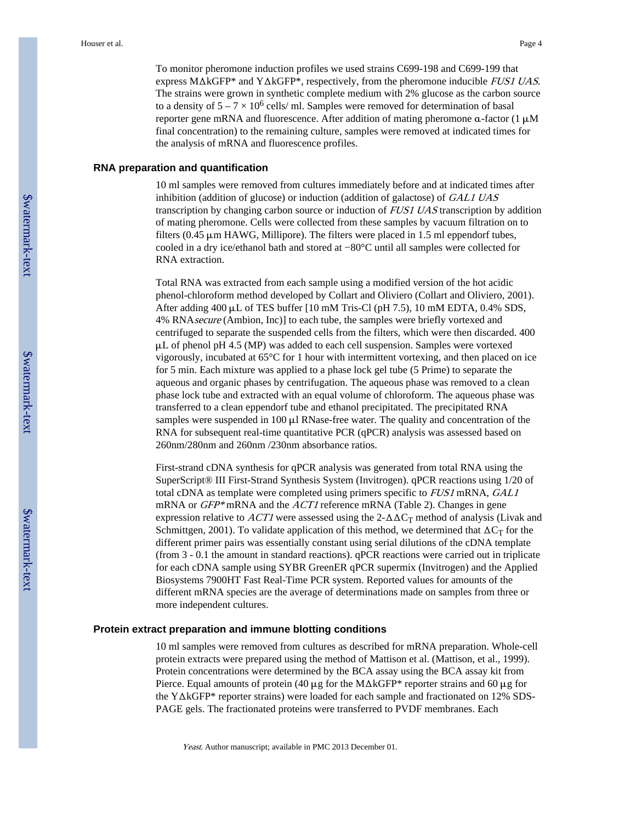#### **RNA preparation and quantification**

10 ml samples were removed from cultures immediately before and at indicated times after inhibition (addition of glucose) or induction (addition of galactose) of GAL1 UAS transcription by changing carbon source or induction of FUS1 UAS transcription by addition of mating pheromone. Cells were collected from these samples by vacuum filtration on to filters (0.45 μm HAWG, Millipore). The filters were placed in 1.5 ml eppendorf tubes, cooled in a dry ice/ethanol bath and stored at −80°C until all samples were collected for RNA extraction.

Total RNA was extracted from each sample using a modified version of the hot acidic phenol-chloroform method developed by Collart and Oliviero (Collart and Oliviero, 2001). After adding 400 μL of TES buffer [10 mM Tris-Cl (pH 7.5), 10 mM EDTA, 0.4% SDS, 4% RNAsecure (Ambion, Inc)] to each tube, the samples were briefly vortexed and centrifuged to separate the suspended cells from the filters, which were then discarded. 400 μL of phenol pH 4.5 (MP) was added to each cell suspension. Samples were vortexed vigorously, incubated at 65°C for 1 hour with intermittent vortexing, and then placed on ice for 5 min. Each mixture was applied to a phase lock gel tube (5 Prime) to separate the aqueous and organic phases by centrifugation. The aqueous phase was removed to a clean phase lock tube and extracted with an equal volume of chloroform. The aqueous phase was transferred to a clean eppendorf tube and ethanol precipitated. The precipitated RNA samples were suspended in 100 μl RNase-free water. The quality and concentration of the RNA for subsequent real-time quantitative PCR (qPCR) analysis was assessed based on 260nm/280nm and 260nm /230nm absorbance ratios.

First-strand cDNA synthesis for qPCR analysis was generated from total RNA using the SuperScript® III First-Strand Synthesis System (Invitrogen). qPCR reactions using 1/20 of total cDNA as template were completed using primers specific to FUS1 mRNA, GAL1 mRNA or GFP\* mRNA and the *ACT1* reference mRNA (Table 2). Changes in gene expression relative to ACT1 were assessed using the  $2-\Delta\Delta C_T$  method of analysis (Livak and Schmittgen, 2001). To validate application of this method, we determined that  $\Delta C_T$  for the different primer pairs was essentially constant using serial dilutions of the cDNA template (from 3 - 0.1 the amount in standard reactions). qPCR reactions were carried out in triplicate for each cDNA sample using SYBR GreenER qPCR supermix (Invitrogen) and the Applied Biosystems 7900HT Fast Real-Time PCR system. Reported values for amounts of the different mRNA species are the average of determinations made on samples from three or more independent cultures.

#### **Protein extract preparation and immune blotting conditions**

10 ml samples were removed from cultures as described for mRNA preparation. Whole-cell protein extracts were prepared using the method of Mattison et al. (Mattison, et al., 1999). Protein concentrations were determined by the BCA assay using the BCA assay kit from Pierce. Equal amounts of protein (40 μg for the MΔkGFP\* reporter strains and 60 μg for the YΔkGFP\* reporter strains) were loaded for each sample and fractionated on 12% SDS-PAGE gels. The fractionated proteins were transferred to PVDF membranes. Each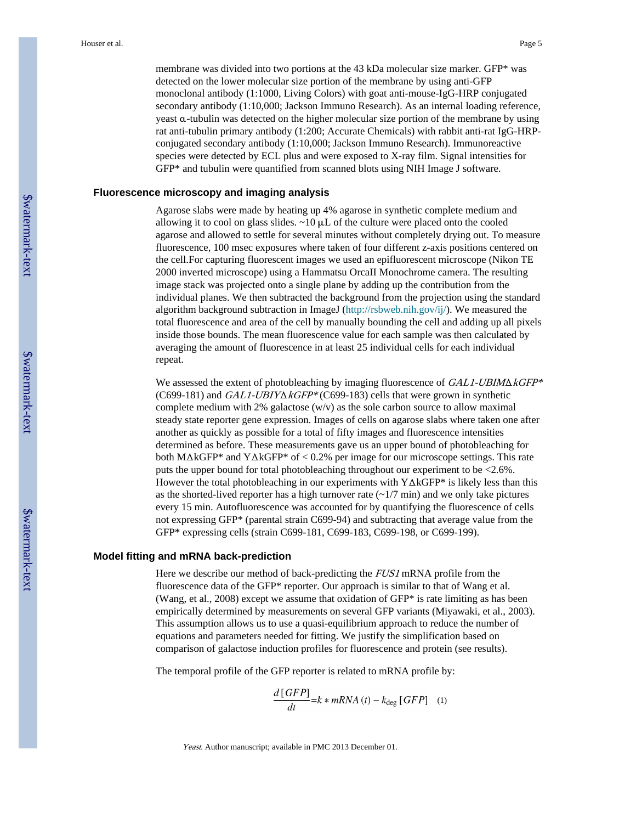membrane was divided into two portions at the 43 kDa molecular size marker. GFP\* was detected on the lower molecular size portion of the membrane by using anti-GFP monoclonal antibody (1:1000, Living Colors) with goat anti-mouse-IgG-HRP conjugated secondary antibody (1:10,000; Jackson Immuno Research). As an internal loading reference, yeast α-tubulin was detected on the higher molecular size portion of the membrane by using rat anti-tubulin primary antibody (1:200; Accurate Chemicals) with rabbit anti-rat IgG-HRPconjugated secondary antibody (1:10,000; Jackson Immuno Research). Immunoreactive species were detected by ECL plus and were exposed to X-ray film. Signal intensities for GFP\* and tubulin were quantified from scanned blots using NIH Image J software.

#### **Fluorescence microscopy and imaging analysis**

Agarose slabs were made by heating up 4% agarose in synthetic complete medium and allowing it to cool on glass slides.  $\sim$ 10  $\mu$ L of the culture were placed onto the cooled agarose and allowed to settle for several minutes without completely drying out. To measure fluorescence, 100 msec exposures where taken of four different z-axis positions centered on the cell.For capturing fluorescent images we used an epifluorescent microscope (Nikon TE 2000 inverted microscope) using a Hammatsu OrcaII Monochrome camera. The resulting image stack was projected onto a single plane by adding up the contribution from the individual planes. We then subtracted the background from the projection using the standard algorithm background subtraction in ImageJ [\(http://rsbweb.nih.gov/ij/\)](http://rsbweb.nih.gov/ij/). We measured the total fluorescence and area of the cell by manually bounding the cell and adding up all pixels inside those bounds. The mean fluorescence value for each sample was then calculated by averaging the amount of fluorescence in at least 25 individual cells for each individual repeat.

We assessed the extent of photobleaching by imaging fluorescence of GAL1-UBIMΔkGFP\* (C699-181) and  $GAL1-UBIY\Delta kGFP*(C699-183)$  cells that were grown in synthetic complete medium with 2% galactose  $(w/v)$  as the sole carbon source to allow maximal steady state reporter gene expression. Images of cells on agarose slabs where taken one after another as quickly as possible for a total of fifty images and fluorescence intensities determined as before. These measurements gave us an upper bound of photobleaching for both MΔkGFP\* and YΔkGFP\* of < 0.2% per image for our microscope settings. This rate puts the upper bound for total photobleaching throughout our experiment to be <2.6%. However the total photobleaching in our experiments with YΔkGFP\* is likely less than this as the shorted-lived reporter has a high turnover rate  $\left(\frac{1}{7} \text{ min}\right)$  and we only take pictures every 15 min. Autofluorescence was accounted for by quantifying the fluorescence of cells not expressing GFP\* (parental strain C699-94) and subtracting that average value from the GFP\* expressing cells (strain C699-181, C699-183, C699-198, or C699-199).

#### **Model fitting and mRNA back-prediction**

Here we describe our method of back-predicting the FUS1 mRNA profile from the fluorescence data of the GFP\* reporter. Our approach is similar to that of Wang et al. (Wang, et al., 2008) except we assume that oxidation of GFP\* is rate limiting as has been empirically determined by measurements on several GFP variants (Miyawaki, et al., 2003). This assumption allows us to use a quasi-equilibrium approach to reduce the number of equations and parameters needed for fitting. We justify the simplification based on comparison of galactose induction profiles for fluorescence and protein (see results).

The temporal profile of the GFP reporter is related to mRNA profile by:

$$
\frac{d\left[ GFP\right]}{dt} = k * mRNA\left(t\right) - k_{\text{deg}}\left[ GFP\right] \quad (1)
$$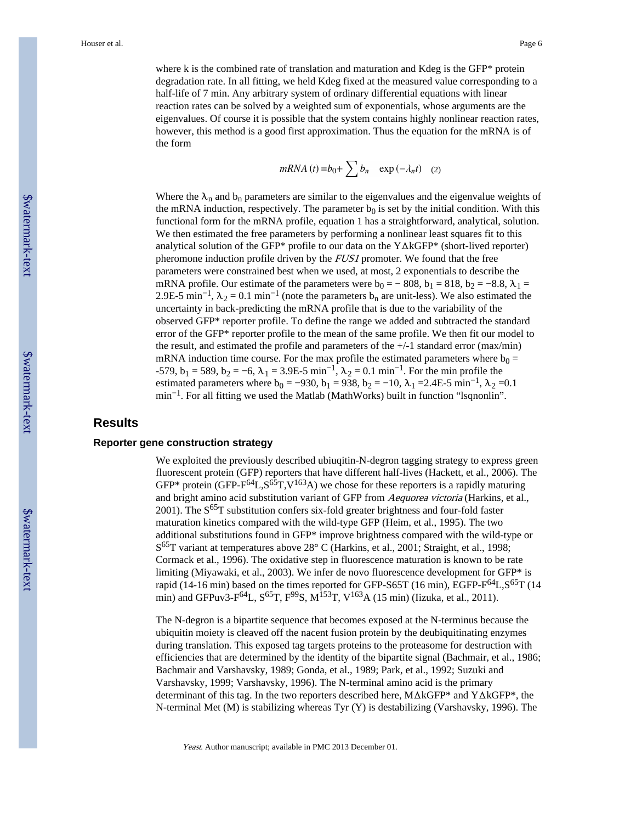where k is the combined rate of translation and maturation and Kdeg is the GFP\* protein degradation rate. In all fitting, we held Kdeg fixed at the measured value corresponding to a half-life of 7 min. Any arbitrary system of ordinary differential equations with linear reaction rates can be solved by a weighted sum of exponentials, whose arguments are the eigenvalues. Of course it is possible that the system contains highly nonlinear reaction rates, however, this method is a good first approximation. Thus the equation for the mRNA is of the form

 $mRNA(t) = b_0 + \sum b_n \exp(-\lambda_n t)$  (2)

Where the  $\lambda_n$  and  $b_n$  parameters are similar to the eigenvalues and the eigenvalue weights of the mRNA induction, respectively. The parameter  $b_0$  is set by the initial condition. With this functional form for the mRNA profile, equation 1 has a straightforward, analytical, solution. We then estimated the free parameters by performing a nonlinear least squares fit to this analytical solution of the GFP\* profile to our data on the YΔkGFP\* (short-lived reporter) pheromone induction profile driven by the *FUS1* promoter. We found that the free parameters were constrained best when we used, at most, 2 exponentials to describe the mRNA profile. Our estimate of the parameters were  $b_0 = -808$ ,  $b_1 = 818$ ,  $b_2 = -8.8$ ,  $\lambda_1 =$ 2.9E-5 min<sup>-1</sup>,  $\lambda_2 = 0.1$  min<sup>-1</sup> (note the parameters b<sub>n</sub> are unit-less). We also estimated the uncertainty in back-predicting the mRNA profile that is due to the variability of the observed GFP\* reporter profile. To define the range we added and subtracted the standard error of the GFP\* reporter profile to the mean of the same profile. We then fit our model to the result, and estimated the profile and parameters of the  $+/-1$  standard error (max/min) mRNA induction time course. For the max profile the estimated parameters where  $b_0 =$ -579,  $b_1 = 589$ ,  $b_2 = -6$ ,  $\lambda_1 = 3.9E$ -5 min<sup>-1</sup>,  $\lambda_2 = 0.1$  min<sup>-1</sup>. For the min profile the estimated parameters where  $b_0 = -930$ ,  $b_1 = 938$ ,  $b_2 = -10$ ,  $\lambda_1 = 2.4E-5 \text{ min}^{-1}$ ,  $\lambda_2 = 0.1$ min−1. For all fitting we used the Matlab (MathWorks) built in function "lsqnonlin".

## **Results**

#### **Reporter gene construction strategy**

We exploited the previously described ubiuqitin-N-degron tagging strategy to express green fluorescent protein (GFP) reporters that have different half-lives (Hackett, et al., 2006). The GFP\* protein (GFP- $F^{64}L$ ,  $S^{65}T$ ,  $V^{163}A$ ) we chose for these reporters is a rapidly maturing and bright amino acid substitution variant of GFP from Aequorea victoria (Harkins, et al., 2001). The  $S^{65}T$  substitution confers six-fold greater brightness and four-fold faster maturation kinetics compared with the wild-type GFP (Heim, et al., 1995). The two additional substitutions found in GFP\* improve brightness compared with the wild-type or S<sup>65</sup>T variant at temperatures above 28° C (Harkins, et al., 2001; Straight, et al., 1998; Cormack et al., 1996). The oxidative step in fluorescence maturation is known to be rate limiting (Miyawaki, et al., 2003). We infer de novo fluorescence development for GFP\* is rapid (14-16 min) based on the times reported for GFP-S65T (16 min), EGFP- $F^{64}L$ ,  $S^{65}T$  (14 min) and GFPuv3-F<sup>64</sup>L,  $S^{65}T$ ,  $F^{99}S$ ,  $M^{153}T$ ,  $V^{163}A$  (15 min) (Iizuka, et al., 2011).

The N-degron is a bipartite sequence that becomes exposed at the N-terminus because the ubiquitin moiety is cleaved off the nacent fusion protein by the deubiquitinating enzymes during translation. This exposed tag targets proteins to the proteasome for destruction with efficiencies that are determined by the identity of the bipartite signal (Bachmair, et al., 1986; Bachmair and Varshavsky, 1989; Gonda, et al., 1989; Park, et al., 1992; Suzuki and Varshavsky, 1999; Varshavsky, 1996). The N-terminal amino acid is the primary determinant of this tag. In the two reporters described here, MΔkGFP\* and YΔkGFP\*, the N-terminal Met (M) is stabilizing whereas Tyr (Y) is destabilizing (Varshavsky, 1996). The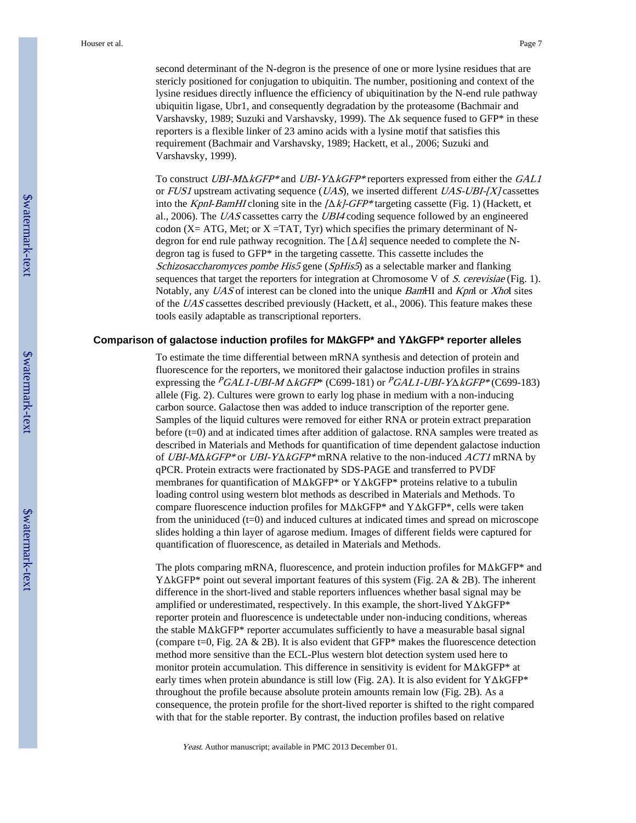second determinant of the N-degron is the presence of one or more lysine residues that are stericly positioned for conjugation to ubiquitin. The number, positioning and context of the lysine residues directly influence the efficiency of ubiquitination by the N-end rule pathway ubiquitin ligase, Ubr1, and consequently degradation by the proteasome (Bachmair and Varshavsky, 1989; Suzuki and Varshavsky, 1999). The Δk sequence fused to GFP\* in these reporters is a flexible linker of 23 amino acids with a lysine motif that satisfies this requirement (Bachmair and Varshavsky, 1989; Hackett, et al., 2006; Suzuki and Varshavsky, 1999).

To construct UBI- $M\Delta k$ GFP\* and UBI-Y $\Delta k$ GFP\* reporters expressed from either the GAL1 or  $FUS1$  upstream activating sequence (*UAS*), we inserted different *UAS-UBI-[X]* cassettes into the KpnI-BamHI cloning site in the  $[\Delta k]$ -GFP\* targeting cassette (Fig. 1) (Hackett, et al., 2006). The UAS cassettes carry the UBI4 coding sequence followed by an engineered codon ( $X = ATG$ , Met; or  $X = TAT$ , Tyr) which specifies the primary determinant of Ndegron for end rule pathway recognition. The  $[\Delta k]$  sequence needed to complete the Ndegron tag is fused to GFP\* in the targeting cassette. This cassette includes the Schizosaccharomyces pombe His5 gene (SpHis5) as a selectable marker and flanking sequences that target the reporters for integration at Chromosome V of S. cerevisiae (Fig. 1). Notably, any UAS of interest can be cloned into the unique BamHI and KpnI or XhoI sites of the UAS cassettes described previously (Hackett, et al., 2006). This feature makes these tools easily adaptable as transcriptional reporters.

#### **Comparison of galactose induction profiles for MΔkGFP\* and YΔkGFP\* reporter alleles**

To estimate the time differential between mRNA synthesis and detection of protein and fluorescence for the reporters, we monitored their galactose induction profiles in strains expressing the  $\text{P}GAL1\text{-}UBI\text{-}M \Delta kGFP*$  (C699-181) or  $\text{P}GAL1\text{-}UBI\text{-}Y\Delta kGFP*$  (C699-183) allele (Fig. 2). Cultures were grown to early log phase in medium with a non-inducing carbon source. Galactose then was added to induce transcription of the reporter gene. Samples of the liquid cultures were removed for either RNA or protein extract preparation before (t=0) and at indicated times after addition of galactose. RNA samples were treated as described in Materials and Methods for quantification of time dependent galactose induction of UBI-MΔkGFP\* or UBI-YΔkGFP\* mRNA relative to the non-induced ACT1 mRNA by qPCR. Protein extracts were fractionated by SDS-PAGE and transferred to PVDF membranes for quantification of MΔkGFP\* or YΔkGFP\* proteins relative to a tubulin loading control using western blot methods as described in Materials and Methods. To compare fluorescence induction profiles for MΔkGFP\* and YΔkGFP\*, cells were taken from the uniniduced (t=0) and induced cultures at indicated times and spread on microscope slides holding a thin layer of agarose medium. Images of different fields were captured for quantification of fluorescence, as detailed in Materials and Methods.

The plots comparing mRNA, fluorescence, and protein induction profiles for MΔkGFP\* and YΔkGFP\* point out several important features of this system (Fig. 2A & 2B). The inherent difference in the short-lived and stable reporters influences whether basal signal may be amplified or underestimated, respectively. In this example, the short-lived YΔkGFP\* reporter protein and fluorescence is undetectable under non-inducing conditions, whereas the stable MΔkGFP\* reporter accumulates sufficiently to have a measurable basal signal (compare t=0, Fig. 2A  $\&$  2B). It is also evident that GFP\* makes the fluorescence detection method more sensitive than the ECL-Plus western blot detection system used here to monitor protein accumulation. This difference in sensitivity is evident for MΔkGFP\* at early times when protein abundance is still low (Fig. 2A). It is also evident for YΔkGFP\* throughout the profile because absolute protein amounts remain low (Fig. 2B). As a consequence, the protein profile for the short-lived reporter is shifted to the right compared with that for the stable reporter. By contrast, the induction profiles based on relative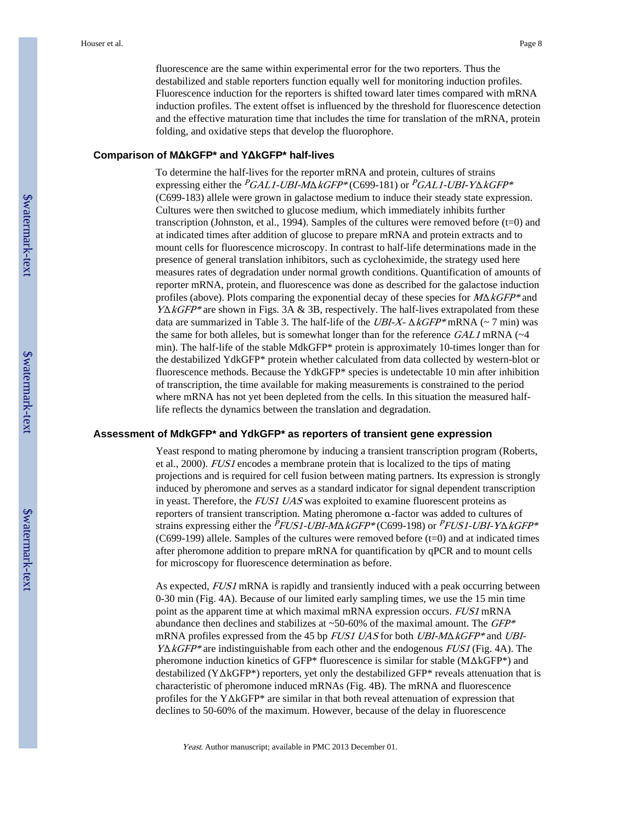fluorescence are the same within experimental error for the two reporters. Thus the destabilized and stable reporters function equally well for monitoring induction profiles. Fluorescence induction for the reporters is shifted toward later times compared with mRNA induction profiles. The extent offset is influenced by the threshold for fluorescence detection and the effective maturation time that includes the time for translation of the mRNA, protein folding, and oxidative steps that develop the fluorophore.

#### **Comparison of MΔkGFP\* and YΔkGFP\* half-lives**

To determine the half-lives for the reporter mRNA and protein, cultures of strains expressing either the  $PGAL1-UBI-M\Delta kGFP*(C699-181)$  or  $PGAL1-UBI-Y\Delta kGFP*$ (C699-183) allele were grown in galactose medium to induce their steady state expression. Cultures were then switched to glucose medium, which immediately inhibits further transcription (Johnston, et al., 1994). Samples of the cultures were removed before (t=0) and at indicated times after addition of glucose to prepare mRNA and protein extracts and to mount cells for fluorescence microscopy. In contrast to half-life determinations made in the presence of general translation inhibitors, such as cycloheximide, the strategy used here measures rates of degradation under normal growth conditions. Quantification of amounts of reporter mRNA, protein, and fluorescence was done as described for the galactose induction profiles (above). Plots comparing the exponential decay of these species for  $M\Delta kGFP*$  and  $Y\Delta kGFP^*$  are shown in Figs. 3A & 3B, respectively. The half-lives extrapolated from these data are summarized in Table 3. The half-life of the  $UBI-X-\Delta kGFP*$  mRNA (~ 7 min) was the same for both alleles, but is somewhat longer than for the reference  $GALI$  mRNA ( $\sim$ 4) min). The half-life of the stable MdkGFP\* protein is approximately 10-times longer than for the destabilized YdkGFP\* protein whether calculated from data collected by western-blot or fluorescence methods. Because the YdkGFP\* species is undetectable 10 min after inhibition of transcription, the time available for making measurements is constrained to the period where mRNA has not yet been depleted from the cells. In this situation the measured halflife reflects the dynamics between the translation and degradation.

#### **Assessment of MdkGFP\* and YdkGFP\* as reporters of transient gene expression**

Yeast respond to mating pheromone by inducing a transient transcription program (Roberts, et al., 2000). FUS1 encodes a membrane protein that is localized to the tips of mating projections and is required for cell fusion between mating partners. Its expression is strongly induced by pheromone and serves as a standard indicator for signal dependent transcription in yeast. Therefore, the FUS1 UAS was exploited to examine fluorescent proteins as reporters of transient transcription. Mating pheromone α-factor was added to cultures of strains expressing either the PFUS1-UBI-MΔkGFP\* (C699-198) or PFUS1-UBI-YΔkGFP\*  $(C699-199)$  allele. Samples of the cultures were removed before  $(t=0)$  and at indicated times after pheromone addition to prepare mRNA for quantification by qPCR and to mount cells for microscopy for fluorescence determination as before.

As expected, *FUS1* mRNA is rapidly and transiently induced with a peak occurring between 0-30 min (Fig. 4A). Because of our limited early sampling times, we use the 15 min time point as the apparent time at which maximal mRNA expression occurs. FUS1 mRNA abundance then declines and stabilizes at  $\sim$  50-60% of the maximal amount. The *GFP*\* mRNA profiles expressed from the 45 bp *FUS1 UAS* for both *UBI-M* $\triangle$ *KGFP\** and *UBI-* $Y\Delta kGFP^*$  are indistinguishable from each other and the endogenous  $FUSI$  (Fig. 4A). The pheromone induction kinetics of GFP\* fluorescence is similar for stable (MΔkGFP\*) and destabilized (YΔkGFP\*) reporters, yet only the destabilized GFP\* reveals attenuation that is characteristic of pheromone induced mRNAs (Fig. 4B). The mRNA and fluorescence profiles for the YΔkGFP\* are similar in that both reveal attenuation of expression that declines to 50-60% of the maximum. However, because of the delay in fluorescence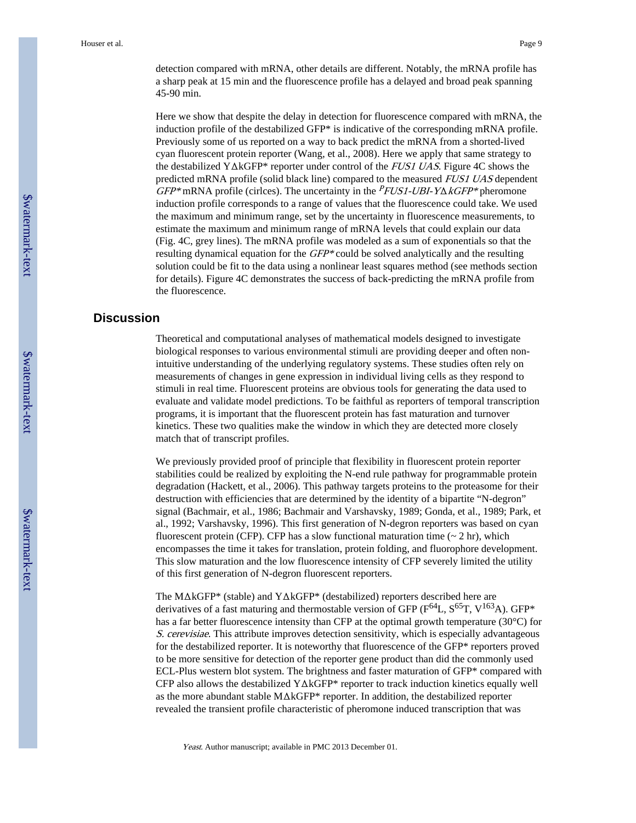detection compared with mRNA, other details are different. Notably, the mRNA profile has a sharp peak at 15 min and the fluorescence profile has a delayed and broad peak spanning 45-90 min.

Here we show that despite the delay in detection for fluorescence compared with mRNA, the induction profile of the destabilized GFP\* is indicative of the corresponding mRNA profile. Previously some of us reported on a way to back predict the mRNA from a shorted-lived cyan fluorescent protein reporter (Wang, et al., 2008). Here we apply that same strategy to the destabilized YΔkGFP\* reporter under control of the FUS1 UAS. Figure 4C shows the predicted mRNA profile (solid black line) compared to the measured FUS1 UAS dependent  $GFP^*$  mRNA profile (cirlces). The uncertainty in the  $PFLSI-UBI-Y\Delta kGFP^*$  pheromone induction profile corresponds to a range of values that the fluorescence could take. We used the maximum and minimum range, set by the uncertainty in fluorescence measurements, to estimate the maximum and minimum range of mRNA levels that could explain our data (Fig. 4C, grey lines). The mRNA profile was modeled as a sum of exponentials so that the resulting dynamical equation for the  $GFP*$  could be solved analytically and the resulting solution could be fit to the data using a nonlinear least squares method (see methods section for details). Figure 4C demonstrates the success of back-predicting the mRNA profile from the fluorescence.

## **Discussion**

Theoretical and computational analyses of mathematical models designed to investigate biological responses to various environmental stimuli are providing deeper and often nonintuitive understanding of the underlying regulatory systems. These studies often rely on measurements of changes in gene expression in individual living cells as they respond to stimuli in real time. Fluorescent proteins are obvious tools for generating the data used to evaluate and validate model predictions. To be faithful as reporters of temporal transcription programs, it is important that the fluorescent protein has fast maturation and turnover kinetics. These two qualities make the window in which they are detected more closely match that of transcript profiles.

We previously provided proof of principle that flexibility in fluorescent protein reporter stabilities could be realized by exploiting the N-end rule pathway for programmable protein degradation (Hackett, et al., 2006). This pathway targets proteins to the proteasome for their destruction with efficiencies that are determined by the identity of a bipartite "N-degron" signal (Bachmair, et al., 1986; Bachmair and Varshavsky, 1989; Gonda, et al., 1989; Park, et al., 1992; Varshavsky, 1996). This first generation of N-degron reporters was based on cyan fluorescent protein (CFP). CFP has a slow functional maturation time  $($   $\sim$  2 hr), which encompasses the time it takes for translation, protein folding, and fluorophore development. This slow maturation and the low fluorescence intensity of CFP severely limited the utility of this first generation of N-degron fluorescent reporters.

The MΔkGFP\* (stable) and YΔkGFP\* (destabilized) reporters described here are derivatives of a fast maturing and thermostable version of GFP ( $F^{64}L$ ,  $S^{65}T$ ,  $V^{163}A$ ). GFP\* has a far better fluorescence intensity than CFP at the optimal growth temperature (30°C) for S. cerevisiae. This attribute improves detection sensitivity, which is especially advantageous for the destabilized reporter. It is noteworthy that fluorescence of the GFP\* reporters proved to be more sensitive for detection of the reporter gene product than did the commonly used ECL-Plus western blot system. The brightness and faster maturation of GFP\* compared with CFP also allows the destabilized YΔkGFP\* reporter to track induction kinetics equally well as the more abundant stable MΔkGFP\* reporter. In addition, the destabilized reporter revealed the transient profile characteristic of pheromone induced transcription that was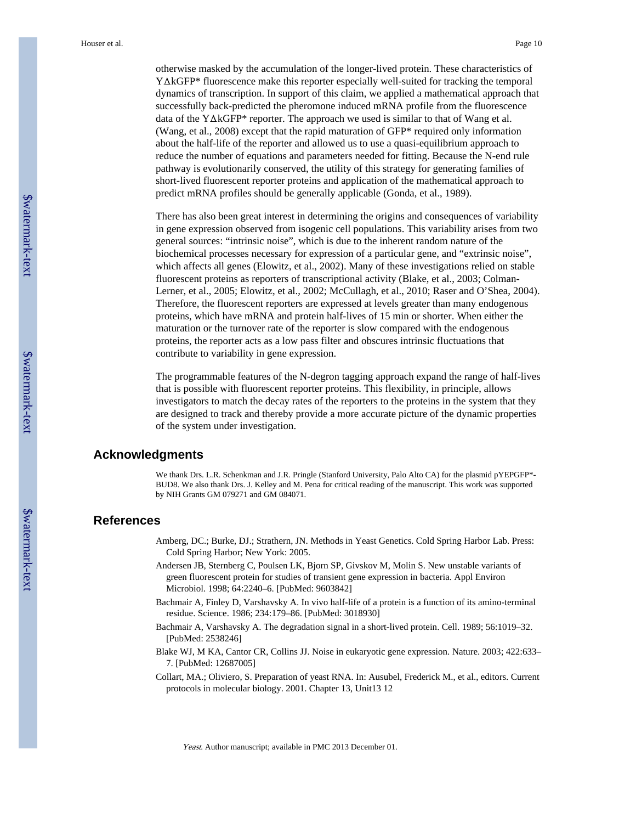otherwise masked by the accumulation of the longer-lived protein. These characteristics of YΔkGFP\* fluorescence make this reporter especially well-suited for tracking the temporal dynamics of transcription. In support of this claim, we applied a mathematical approach that successfully back-predicted the pheromone induced mRNA profile from the fluorescence data of the YΔkGFP\* reporter. The approach we used is similar to that of Wang et al. (Wang, et al., 2008) except that the rapid maturation of GFP\* required only information about the half-life of the reporter and allowed us to use a quasi-equilibrium approach to reduce the number of equations and parameters needed for fitting. Because the N-end rule pathway is evolutionarily conserved, the utility of this strategy for generating families of short-lived fluorescent reporter proteins and application of the mathematical approach to predict mRNA profiles should be generally applicable (Gonda, et al., 1989).

There has also been great interest in determining the origins and consequences of variability in gene expression observed from isogenic cell populations. This variability arises from two general sources: "intrinsic noise", which is due to the inherent random nature of the biochemical processes necessary for expression of a particular gene, and "extrinsic noise", which affects all genes (Elowitz, et al., 2002). Many of these investigations relied on stable fluorescent proteins as reporters of transcriptional activity (Blake, et al., 2003; Colman-Lerner, et al., 2005; Elowitz, et al., 2002; McCullagh, et al., 2010; Raser and O'Shea, 2004). Therefore, the fluorescent reporters are expressed at levels greater than many endogenous proteins, which have mRNA and protein half-lives of 15 min or shorter. When either the maturation or the turnover rate of the reporter is slow compared with the endogenous proteins, the reporter acts as a low pass filter and obscures intrinsic fluctuations that contribute to variability in gene expression.

The programmable features of the N-degron tagging approach expand the range of half-lives that is possible with fluorescent reporter proteins. This flexibility, in principle, allows investigators to match the decay rates of the reporters to the proteins in the system that they are designed to track and thereby provide a more accurate picture of the dynamic properties of the system under investigation.

#### **Acknowledgments**

We thank Drs. L.R. Schenkman and J.R. Pringle (Stanford University, Palo Alto CA) for the plasmid pYEPGFP\*- BUD8. We also thank Drs. J. Kelley and M. Pena for critical reading of the manuscript. This work was supported by NIH Grants GM 079271 and GM 084071.

## **References**

- Amberg, DC.; Burke, DJ.; Strathern, JN. Methods in Yeast Genetics. Cold Spring Harbor Lab. Press: Cold Spring Harbor; New York: 2005.
- Andersen JB, Sternberg C, Poulsen LK, Bjorn SP, Givskov M, Molin S. New unstable variants of green fluorescent protein for studies of transient gene expression in bacteria. Appl Environ Microbiol. 1998; 64:2240–6. [PubMed: 9603842]
- Bachmair A, Finley D, Varshavsky A. In vivo half-life of a protein is a function of its amino-terminal residue. Science. 1986; 234:179–86. [PubMed: 3018930]
- Bachmair A, Varshavsky A. The degradation signal in a short-lived protein. Cell. 1989; 56:1019–32. [PubMed: 2538246]
- Blake WJ, M KA, Cantor CR, Collins JJ. Noise in eukaryotic gene expression. Nature. 2003; 422:633– 7. [PubMed: 12687005]
- Collart, MA.; Oliviero, S. Preparation of yeast RNA. In: Ausubel, Frederick M., et al., editors. Current protocols in molecular biology. 2001. Chapter 13, Unit13 12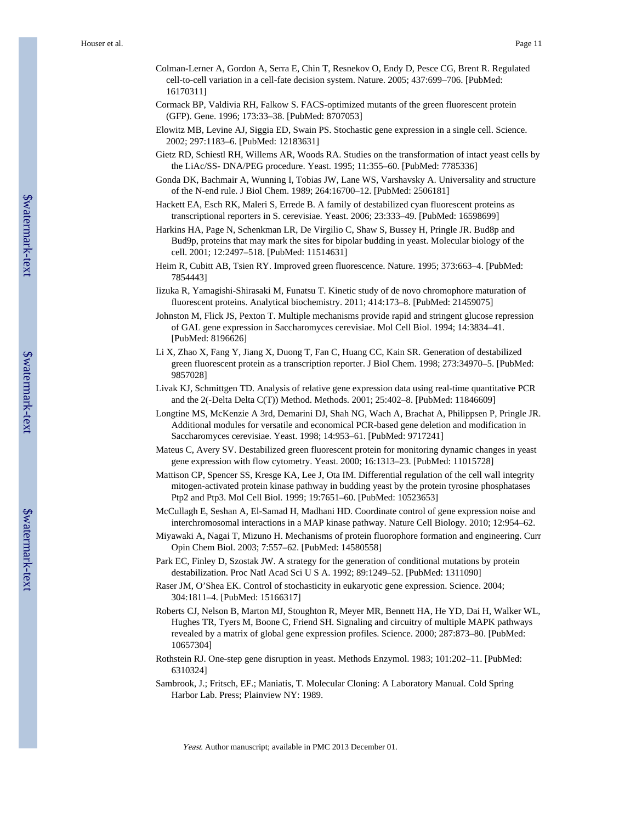- Colman-Lerner A, Gordon A, Serra E, Chin T, Resnekov O, Endy D, Pesce CG, Brent R. Regulated cell-to-cell variation in a cell-fate decision system. Nature. 2005; 437:699–706. [PubMed: 16170311]
- Cormack BP, Valdivia RH, Falkow S. FACS-optimized mutants of the green fluorescent protein (GFP). Gene. 1996; 173:33–38. [PubMed: 8707053]
- Elowitz MB, Levine AJ, Siggia ED, Swain PS. Stochastic gene expression in a single cell. Science. 2002; 297:1183–6. [PubMed: 12183631]
- Gietz RD, Schiestl RH, Willems AR, Woods RA. Studies on the transformation of intact yeast cells by the LiAc/SS- DNA/PEG procedure. Yeast. 1995; 11:355–60. [PubMed: 7785336]
- Gonda DK, Bachmair A, Wunning I, Tobias JW, Lane WS, Varshavsky A. Universality and structure of the N-end rule. J Biol Chem. 1989; 264:16700–12. [PubMed: 2506181]
- Hackett EA, Esch RK, Maleri S, Errede B. A family of destabilized cyan fluorescent proteins as transcriptional reporters in S. cerevisiae. Yeast. 2006; 23:333–49. [PubMed: 16598699]
- Harkins HA, Page N, Schenkman LR, De Virgilio C, Shaw S, Bussey H, Pringle JR. Bud8p and Bud9p, proteins that may mark the sites for bipolar budding in yeast. Molecular biology of the cell. 2001; 12:2497–518. [PubMed: 11514631]
- Heim R, Cubitt AB, Tsien RY. Improved green fluorescence. Nature. 1995; 373:663–4. [PubMed: 7854443]
- Iizuka R, Yamagishi-Shirasaki M, Funatsu T. Kinetic study of de novo chromophore maturation of fluorescent proteins. Analytical biochemistry. 2011; 414:173–8. [PubMed: 21459075]
- Johnston M, Flick JS, Pexton T. Multiple mechanisms provide rapid and stringent glucose repression of GAL gene expression in Saccharomyces cerevisiae. Mol Cell Biol. 1994; 14:3834–41. [PubMed: 8196626]
- Li X, Zhao X, Fang Y, Jiang X, Duong T, Fan C, Huang CC, Kain SR. Generation of destabilized green fluorescent protein as a transcription reporter. J Biol Chem. 1998; 273:34970–5. [PubMed: 9857028]
- Livak KJ, Schmittgen TD. Analysis of relative gene expression data using real-time quantitative PCR and the 2(-Delta Delta C(T)) Method. Methods. 2001; 25:402–8. [PubMed: 11846609]
- Longtine MS, McKenzie A 3rd, Demarini DJ, Shah NG, Wach A, Brachat A, Philippsen P, Pringle JR. Additional modules for versatile and economical PCR-based gene deletion and modification in Saccharomyces cerevisiae. Yeast. 1998; 14:953–61. [PubMed: 9717241]
- Mateus C, Avery SV. Destabilized green fluorescent protein for monitoring dynamic changes in yeast gene expression with flow cytometry. Yeast. 2000; 16:1313–23. [PubMed: 11015728]
- Mattison CP, Spencer SS, Kresge KA, Lee J, Ota IM. Differential regulation of the cell wall integrity mitogen-activated protein kinase pathway in budding yeast by the protein tyrosine phosphatases Ptp2 and Ptp3. Mol Cell Biol. 1999; 19:7651–60. [PubMed: 10523653]
- McCullagh E, Seshan A, El-Samad H, Madhani HD. Coordinate control of gene expression noise and interchromosomal interactions in a MAP kinase pathway. Nature Cell Biology. 2010; 12:954–62.
- Miyawaki A, Nagai T, Mizuno H. Mechanisms of protein fluorophore formation and engineering. Curr Opin Chem Biol. 2003; 7:557–62. [PubMed: 14580558]
- Park EC, Finley D, Szostak JW. A strategy for the generation of conditional mutations by protein destabilization. Proc Natl Acad Sci U S A. 1992; 89:1249–52. [PubMed: 1311090]
- Raser JM, O'Shea EK. Control of stochasticity in eukaryotic gene expression. Science. 2004; 304:1811–4. [PubMed: 15166317]
- Roberts CJ, Nelson B, Marton MJ, Stoughton R, Meyer MR, Bennett HA, He YD, Dai H, Walker WL, Hughes TR, Tyers M, Boone C, Friend SH. Signaling and circuitry of multiple MAPK pathways revealed by a matrix of global gene expression profiles. Science. 2000; 287:873–80. [PubMed: 10657304]
- Rothstein RJ. One-step gene disruption in yeast. Methods Enzymol. 1983; 101:202–11. [PubMed: 6310324]
- Sambrook, J.; Fritsch, EF.; Maniatis, T. Molecular Cloning: A Laboratory Manual. Cold Spring Harbor Lab. Press; Plainview NY: 1989.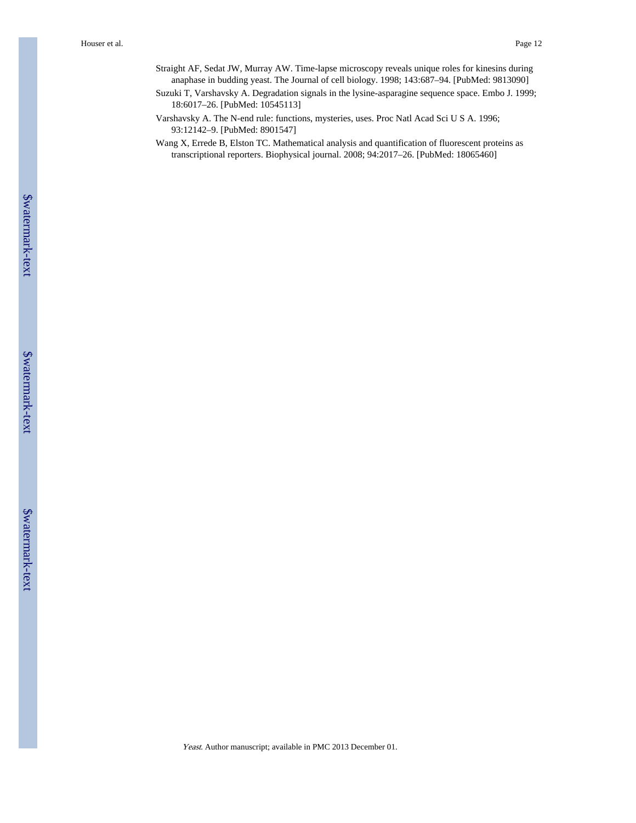- Straight AF, Sedat JW, Murray AW. Time-lapse microscopy reveals unique roles for kinesins during anaphase in budding yeast. The Journal of cell biology. 1998; 143:687–94. [PubMed: 9813090]
- Suzuki T, Varshavsky A. Degradation signals in the lysine-asparagine sequence space. Embo J. 1999; 18:6017–26. [PubMed: 10545113]
- Varshavsky A. The N-end rule: functions, mysteries, uses. Proc Natl Acad Sci U S A. 1996; 93:12142–9. [PubMed: 8901547]
- Wang X, Errede B, Elston TC. Mathematical analysis and quantification of fluorescent proteins as transcriptional reporters. Biophysical journal. 2008; 94:2017–26. [PubMed: 18065460]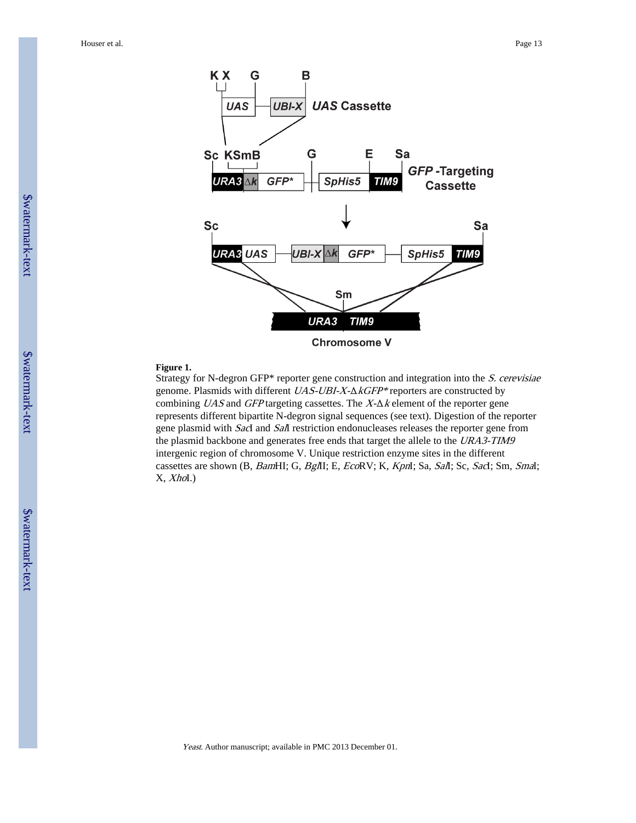

#### **Figure 1.**

Strategy for N-degron GFP\* reporter gene construction and integration into the S. cerevisiae genome. Plasmids with different UAS-UBI-X-ΔkGFP\* reporters are constructed by combining  $UAS$  and  $GFP$  targeting cassettes. The  $X-\Delta k$  element of the reporter gene represents different bipartite N-degron signal sequences (see text). Digestion of the reporter gene plasmid with SacI and SaII restriction endonucleases releases the reporter gene from the plasmid backbone and generates free ends that target the allele to the URA3-TIM9 intergenic region of chromosome V. Unique restriction enzyme sites in the different cassettes are shown (B, BamHI; G, BglII; E, EcoRV; K, KpnI; Sa, SalI; Sc, SacI; Sm, SmaI;  $X$ ,  $Xhol.$ )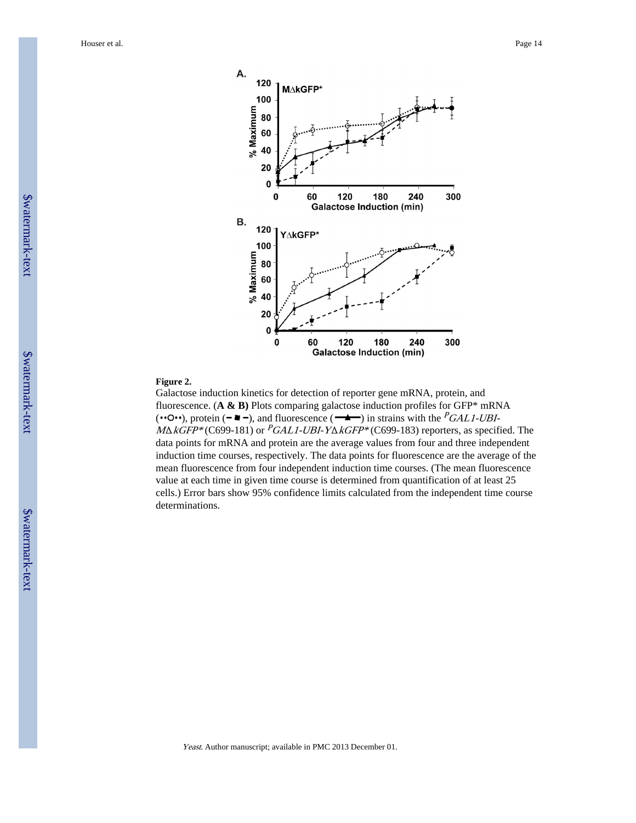Houser et al. Page 14



#### **Figure 2.**

Galactose induction kinetics for detection of reporter gene mRNA, protein, and fluorescence. (**A & B)** Plots comparing galactose induction profiles for GFP\* mRNA ( $\cdot \cdot \circ \cdot \cdot$ ), protein ( $\bullet \bullet \bullet$ ), and fluorescence ( $\bullet \bullet$ ) in strains with the *PGAL1-UBI*- $M\Delta kGFP*(C699-181)$  or  $PGL1-UBI-Y\Delta kGFP*(C699-183)$  reporters, as specified. The data points for mRNA and protein are the average values from four and three independent induction time courses, respectively. The data points for fluorescence are the average of the mean fluorescence from four independent induction time courses. (The mean fluorescence value at each time in given time course is determined from quantification of at least 25 cells.) Error bars show 95% confidence limits calculated from the independent time course determinations.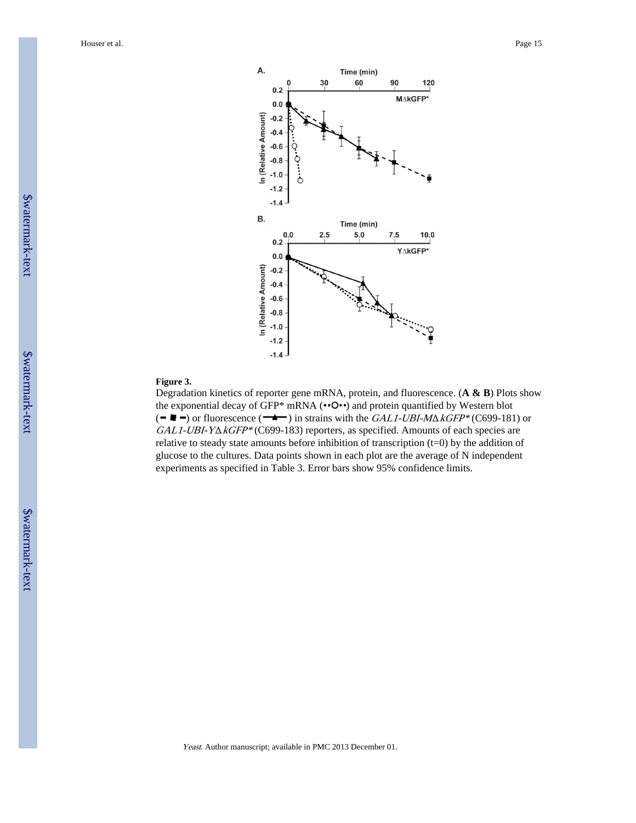

#### **Figure 3.**

Degradation kinetics of reporter gene mRNA, protein, and fluorescence. (**A & B**) Plots show the exponential decay of GFP\* mRNA  $(• • O •)$  and protein quantified by Western blot ( $\bullet$   $\bullet$   $\bullet$ ) or fluorescence ( $\bullet$ ) in strains with the GAL1-UBI-M $\triangle$ kGFP\* (C699-181) or GAL1-UBI-YΔkGFP\* (C699-183) reporters, as specified. Amounts of each species are relative to steady state amounts before inhibition of transcription  $(t=0)$  by the addition of glucose to the cultures. Data points shown in each plot are the average of N independent experiments as specified in Table 3. Error bars show 95% confidence limits.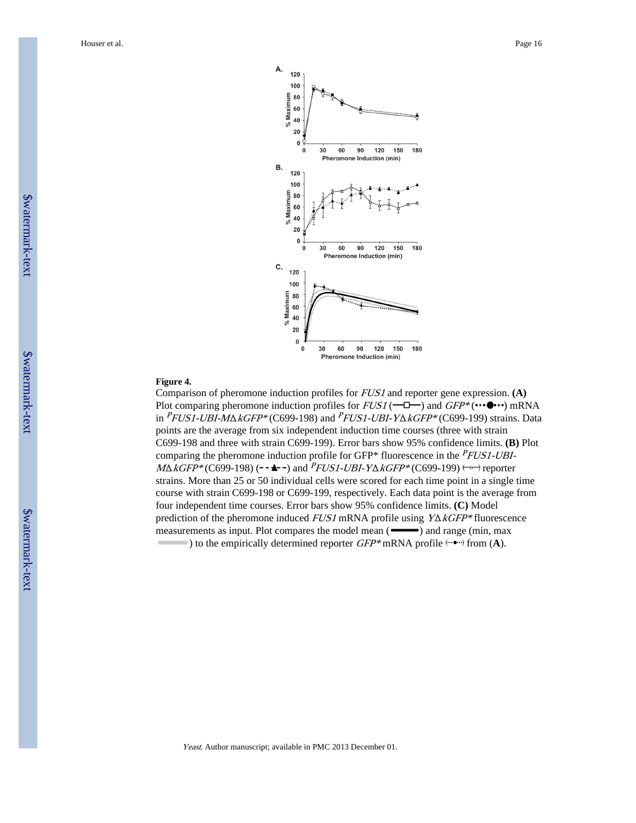

#### **Figure 4.**

Comparison of pheromone induction profiles for FUS1 and reporter gene expression. **(A)** Plot comparing pheromone induction profiles for  $FUS1$  ( $\leftarrow \Box \rightarrow$ ) and  $GFP^*$  ( $\cdots \bullet \cdots$ ) mRNA in  $PFLSI-UBI-MAKGFP*(C699-198)$  and  $PFLSI-UBI-Y\Delta KGFP*(C699-199)$  strains. Data points are the average from six independent induction time courses (three with strain C699-198 and three with strain C699-199). Error bars show 95% confidence limits. **(B)** Plot comparing the pheromone induction profile for GFP\* fluorescence in the  $PFLSI-UBI M\Delta kGFP*(C699-198)$  ( $\rightarrow \rightarrow \rightarrow$ ) and  $PFLSI-UBI-Y\Delta kGFP*(C699-199)$   $\rightarrow$  reporter strains. More than 25 or 50 individual cells were scored for each time point in a single time course with strain C699-198 or C699-199, respectively. Each data point is the average from four independent time courses. Error bars show 95% confidence limits. **(C)** Model prediction of the pheromone induced  $FUS1$  mRNA profile using  $Y\Delta kGFP*$  fluorescence measurements as input. Plot compares the model mean (**incremental**) and range (min, max ) to the empirically determined reporter  $GFP^*$  mRNA profile  $\left(\cdots \bullet \cdots\right)$  from  $(A)$ .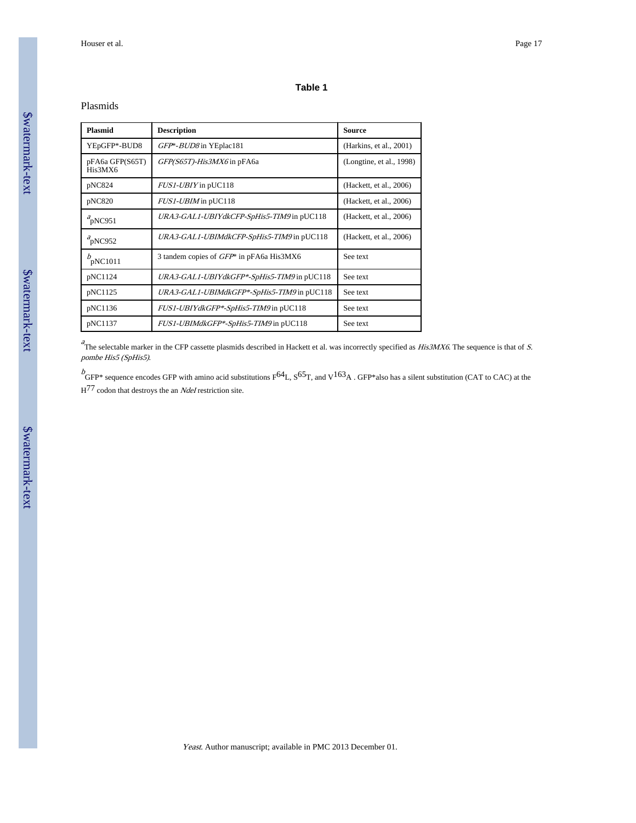#### **Table 1**

#### Plasmids

| <b>Plasmid</b>             | <b>Description</b>                         | <b>Source</b>            |
|----------------------------|--------------------------------------------|--------------------------|
| YEpGFP*-BUD8               | GFP*-BUD8 in YEplac181                     | (Harkins, et al., 2001)  |
| pFA6a GFP(S65T)<br>His3MX6 | GFP(S65T)-His3MX6 in pFA6a                 | (Longtine, et al., 1998) |
| pNC824                     | <i>FUS1-UBIY</i> in pUC118                 | (Hackett, et al., 2006)  |
| pNC820                     | FUS1-UBIM in pUC118                        | (Hackett, et al., 2006)  |
| $a$ <sub>p</sub> NC951     | URA3-GAL1-UBIYdkCFP-SpHis5-TIM9 in pUC118  | (Hackett, et al., 2006)  |
| $a$ <sub>p</sub> NC952     | URA3-GAL1-UBIMdkCFP-SpHis5-TIM9 in pUC118  | (Hackett, et al., 2006)  |
| $b$ <sub>p</sub> NC1011    | 3 tandem copies of GFP* in pFA6a His3MX6   | See text                 |
| pNC1124                    | URA3-GAL1-UBIYdkGFP*-SpHis5-TIM9 in pUC118 | See text                 |
| pNC1125                    | URA3-GAL1-UBIMdkGFP*-SpHis5-TIM9 in pUC118 | See text.                |
| pNC1136                    | FUS1-UBIYdkGFP*-SpHis5-TIM9 in pUC118      | See text                 |
| pNC1137                    | FUS1-UBIMdkGFP*-SpHis5-TIM9 in pUC118      | See text                 |

 $a<sup>2</sup>$ The selectable marker in the CFP cassette plasmids described in Hackett et al. was incorrectly specified as *His3MX6*. The sequence is that of S. pombe His5 (SpHis5).

 $b$ <br>GFP\* sequence encodes GFP with amino acid substitutions  $F^{64}L$ ,  $S^{65}T$ , and  $V^{163}A$ . GFP\*also has a silent substitution (CAT to CAC) at the  $H^{77}$  codon that destroys the an *NdeI* restriction site.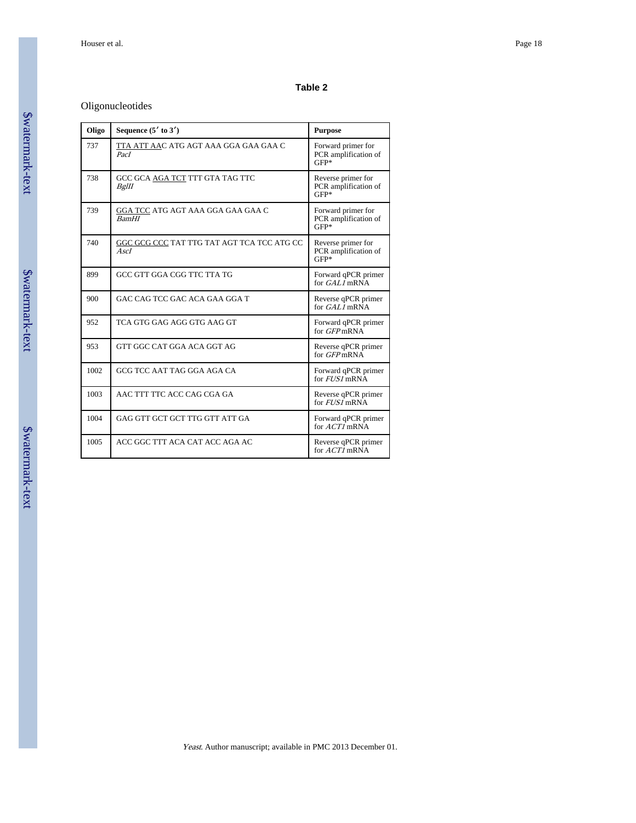#### **Table 2**

# Oligonucleotides

| Oligo | Sequence $(5'$ to $3')$                            | <b>Purpose</b>                                       |
|-------|----------------------------------------------------|------------------------------------------------------|
| 737   | TTA ATT AAC ATG AGT AAA GGA GAA GAA C<br>PacI      | Forward primer for<br>PCR amplification of<br>$GFP*$ |
| 738   | GCC GCA AGA TCT TTT GTA TAG TTC<br>BgIII           | Reverse primer for<br>PCR amplification of<br>GFP*   |
| 739   | GGA TCC ATG AGT AAA GGA GAA GAA C<br><b>BamHI</b>  | Forward primer for<br>PCR amplification of<br>$GFP*$ |
| 740   | GGC GCG CCC TAT TTG TAT AGT TCA TCC ATG CC<br>AscI | Reverse primer for<br>PCR amplification of<br>$GFP*$ |
| 899   | GCC GTT GGA CGG TTC TTA TG                         | Forward qPCR primer<br>for $GALI$ mRNA               |
| 900   | GAC CAG TCC GAC ACA GAA GGA T                      | Reverse qPCR primer<br>for GAL1 mRNA                 |
| 952   | TCA GTG GAG AGG GTG AAG GT                         | Forward qPCR primer<br>for <i>GFP</i> mRNA           |
| 953   | GTT GGC CAT GGA ACA GGT AG                         | Reverse qPCR primer<br>for GFPmRNA                   |
| 1002  | GCG TCC AAT TAG GGA AGA CA                         | Forward qPCR primer<br>for $FUSI$ mRNA               |
| 1003  | AAC TTT TTC ACC CAG CGA GA                         | Reverse qPCR primer<br>for $FUSI$ mRNA               |
| 1004  | GAG GTT GCT GCT TTG GTT ATT GA                     | Forward qPCR primer<br>for $ACTI$ mRNA               |
| 1005  | ACC GGC TTT ACA CAT ACC AGA AC                     | Reverse qPCR primer<br>for $ACTI$ mRNA               |

# \$watermark-text \$watermark-text